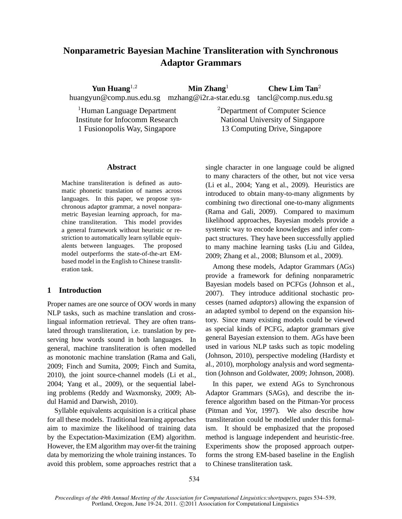# **Nonparametric Bayesian Machine Transliteration with Synchronous Adaptor Grammars**

**Yun Huang**<sup>1,2</sup> **Min Zhang**<sup>1</sup> **Chew Lim Tan**<sup>2</sup> huangyun@comp.nus.edu.sg mzhang@i2r.a-star.edu.sg tancl@comp.nus.edu.sg

<sup>1</sup>Human Language Department  $\hspace{1.5cm}^{2}$ Department of Computer Science Institute for Infocomm Research National University of Singapore 1 Fusionopolis Way, Singapore 13 Computing Drive, Singapore

# **Abstract**

Machine transliteration is defined as automatic phonetic translation of names across languages. In this paper, we propose synchronous adaptor grammar, a novel nonparametric Bayesian learning approach, for machine transliteration. This model provides a general framework without heuristic or restriction to automatically learn syllable equivalents between languages. The proposed model outperforms the state-of-the-art EMbased model in the English to Chinese transliteration task.

# **1 Introduction**

Proper names are one source of OOV words in many NLP tasks, such as machine translation and crosslingual information retrieval. They are often translated through transliteration, i.e. translation by preserving how words sound in both languages. In general, machine transliteration is often modelled as monotonic machine translation (Rama and Gali, 2009; Finch and Sumita, 2009; Finch and Sumita, 2010), the joint source-channel models (Li et al., 2004; Yang et al., 2009), or the sequential labeling problems (Reddy and Waxmonsky, 2009; Abdul Hamid and Darwish, 2010).

Syllable equivalents acquisition is a critical phase for all these models. Traditional learning approaches aim to maximize the likelihood of training data by the Expectation-Maximization (EM) algorithm. However, the EM algorithm may over-fit the training data by memorizing the whole training instances. To avoid this problem, some approaches restrict that a single character in one language could be aligned to many characters of the other, but not vice versa (Li et al., 2004; Yang et al., 2009). Heuristics are introduced to obtain many-to-many alignments by combining two directional one-to-many alignments (Rama and Gali, 2009). Compared to maximum likelihood approaches, Bayesian models provide a systemic way to encode knowledges and infer compact structures. They have been successfully applied to many machine learning tasks (Liu and Gildea, 2009; Zhang et al., 2008; Blunsom et al., 2009).

Among these models, Adaptor Grammars (AGs) provide a framework for defining nonparametric Bayesian models based on PCFGs (Johnson et al., 2007). They introduce additional stochastic processes (named *adaptors*) allowing the expansion of an adapted symbol to depend on the expansion history. Since many existing models could be viewed as special kinds of PCFG, adaptor grammars give general Bayesian extension to them. AGs have been used in various NLP tasks such as topic modeling (Johnson, 2010), perspective modeling (Hardisty et al., 2010), morphology analysis and word segmentation (Johnson and Goldwater, 2009; Johnson, 2008).

In this paper, we extend AGs to Synchronous Adaptor Grammars (SAGs), and describe the inference algorithm based on the Pitman-Yor process (Pitman and Yor, 1997). We also describe how transliteration could be modelled under this formalism. It should be emphasized that the proposed method is language independent and heuristic-free. Experiments show the proposed approach outperforms the strong EM-based baseline in the English to Chinese transliteration task.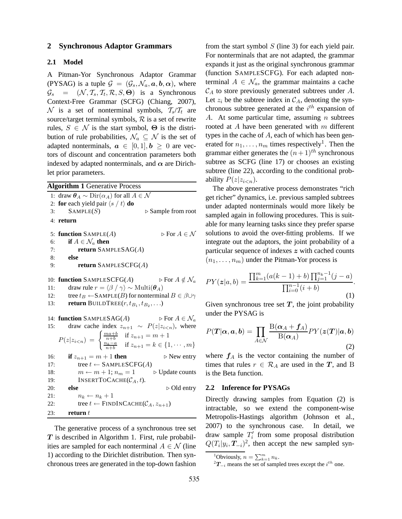### **2 Synchronous Adaptor Grammars**

# **2.1 Model**

A Pitman-Yor Synchronous Adaptor Grammar (PYSAG) is a tuple  $\mathcal{G} = (\mathcal{G}_s, \mathcal{N}_a, \mathbf{a}, \mathbf{b}, \alpha)$ , where  $\mathcal{G}_s = (\mathcal{N}, \mathcal{T}_s, \mathcal{T}_t, \mathcal{R}, S, \Theta)$  is a Synchronous Context-Free Grammar (SCFG) (Chiang, 2007),  $\mathcal N$  is a set of nonterminal symbols,  $T_s/T_t$  are source/target terminal symbols,  $R$  is a set of rewrite rules,  $S \in \mathcal{N}$  is the start symbol,  $\Theta$  is the distribution of rule probabilities,  $\mathcal{N}_a \subseteq \mathcal{N}$  is the set of adapted nonterminals,  $a \in [0,1], b \ge 0$  are vectors of discount and concentration parameters both indexed by adapted nonterminals, and  $\alpha$  are Dirichlet prior parameters.

|     | <b>Algorithm 1 Generative Process</b>                                                   |
|-----|-----------------------------------------------------------------------------------------|
|     | 1: draw $\theta_A \sim \text{Dir}(\alpha_A)$ for all $A \in \mathcal{N}$                |
|     | 2: for each yield pair $\langle s \rangle t$ do                                         |
| 3:  | SAMPLE(S)<br>▷ Sample from root                                                         |
|     | 4: return                                                                               |
|     |                                                                                         |
|     | $\triangleright$ For $A \in \mathcal{N}$<br>5: function $SAMPLE(A)$                     |
| 6:  | if $A \in \mathcal{N}_a$ then                                                           |
| 7:  | return SAMPLESAG(A)                                                                     |
| 8:  | else                                                                                    |
| 9:  | return SAMPLESCFG $(A)$                                                                 |
|     |                                                                                         |
|     | 10: <b>function</b> SAMPLESCFG(A) $\triangleright$ For $A \notin \mathcal{N}_a$         |
| 11: | draw rule $r = \langle \beta / \gamma \rangle \sim \text{Multi}(\boldsymbol{\theta}_A)$ |
| 12: | tree $t_B \leftarrow$ SAMPLE( <i>B</i> ) for nonterminal $B \in \beta \cup \gamma$      |
| 13: | <b>return</b> BUILDTREE $(r, t_{B_1}, t_{B_2}, \ldots)$                                 |
|     |                                                                                         |
|     | $\triangleright$ For $A \in \mathcal{N}_a$<br>14: function $SAMPLESAG(A)$               |
| 15: | draw cache index $z_{n+1} \sim P(z z_{i\leq n})$ , where                                |
|     |                                                                                         |
|     | $P(z z_{i$                                                                              |
| 16: | $\triangleright$ New entry<br><b>if</b> $z_{n+1} = m + 1$ then                          |
| 17: | tree $t \leftarrow$ SAMPLESCFG(A)                                                       |
| 18: | $m \leftarrow m + 1; n_m = 1$<br>$\triangleright$ Update counts                         |
| 19: | INSERTTOCACHE( $\mathcal{C}_A, t$ ).                                                    |
| 20: | $\triangleright$ Old entry<br>else                                                      |
| 21: | $n_k \leftarrow n_k + 1$                                                                |
| 22: | tree $t \leftarrow$ FINDINCACHE( $\mathcal{C}_A$ , $z_{n+1}$ )                          |
| 23: | return $t$                                                                              |
|     |                                                                                         |

The generative process of a synchronous tree set  $T$  is described in Algorithm 1. First, rule probabilities are sampled for each nonterminal  $A \in \mathcal{N}$  (line 1) according to the Dirichlet distribution. Then synchronous trees are generated in the top-down fashion from the start symbol  $S$  (line 3) for each yield pair. For nonterminals that are not adapted, the grammar expands it just as the original synchronous grammar (function SAMPLESCFG). For each adapted nonterminal  $A \in \mathcal{N}_a$ , the grammar maintains a cache  $\mathcal{C}_A$  to store previously generated subtrees under A. Let  $z_i$  be the subtree index in  $C_A$ , denoting the synchronous subtree generated at the  $i^{th}$  expansion of A. At some particular time, assuming  $n$  subtrees rooted at  $A$  have been generated with  $m$  different types in the cache of  $A$ , each of which has been generated for  $n_1, \ldots, n_m$  times respectively<sup>1</sup>. Then the grammar either generates the  $(n+1)$ <sup>th</sup> synchronous subtree as SCFG (line 17) or chooses an existing subtree (line 22), according to the conditional probability  $P(z|z_{i\leq n})$ .

The above generative process demonstrates "rich get richer" dynamics, i.e. previous sampled subtrees under adapted nonterminals would more likely be sampled again in following procedures. This is suitable for many learning tasks since they prefer sparse solutions to avoid the over-fitting problems. If we integrate out the adaptors, the joint probability of a particular sequence of indexes z with cached counts  $(n_1, \ldots, n_m)$  under the Pitman-Yor process is

$$
PY(z|a,b) = \frac{\prod_{k=1}^{m} (a(k-1)+b) \prod_{j=1}^{n_k-1} (j-a)}{\prod_{i=0}^{n-1} (i+b)}.
$$
\n(1)

Given synchronous tree set  $T$ , the joint probability under the PYSAG is

$$
P(T|\alpha, a, b) = \prod_{A \in \mathcal{N}} \frac{\text{B}(\alpha_A + f_A)}{\text{B}(\alpha_A)} P Y(z(T)|a, b)
$$
\n(2)

where  $f_A$  is the vector containing the number of times that rules  $r \in \mathcal{R}_A$  are used in the T, and B is the Beta function.

#### **2.2 Inference for PYSAGs**

Directly drawing samples from Equation (2) is intractable, so we extend the component-wise Metropolis-Hastings algorithm (Johnson et al., 2007) to the synchronous case. In detail, we draw sample  $T_i'$  $i'$  from some proposal distribution  $Q(T_i|y_i, T_{-i})^2$ , then accept the new sampled syn-

<sup>&</sup>lt;sup>1</sup>Obviously,  $n = \sum_{k=1}^{m} n_k$ .

 ${}^{2}T_{-i}$  means the set of sampled trees except the  $i^{th}$  one.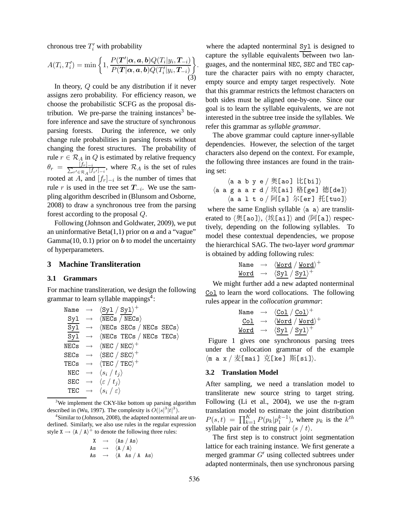chronous tree  $T_i'$  with probability

$$
A(T_i, T'_i) = \min\left\{1, \frac{P(\mathbf{T}'|\alpha, \mathbf{a}, \mathbf{b})Q(T_i|y_i, \mathbf{T}_{-i})}{P(\mathbf{T}|\alpha, \mathbf{a}, \mathbf{b})Q(T'_i|y_i, \mathbf{T}_{-i})}\right\}.
$$
\n(3)

In theory, Q could be any distribution if it never assigns zero probability. For efficiency reason, we choose the probabilistic SCFG as the proposal distribution. We pre-parse the training instances<sup>3</sup> before inference and save the structure of synchronous parsing forests. During the inference, we only change rule probabilities in parsing forests without changing the forest structures. The probability of rule  $r \in \mathcal{R}_A$  in Q is estimated by relative frequency  $\theta_r = \frac{[f_r]_{-i}}{\sum_{r' \in \mathcal{R}} \prod_{i}$  $\frac{|Jr|-i}{r' \in \mathcal{R}_A}[f_{r'}]_{-i}$ , where  $\mathcal{R}_A$  is the set of rules rooted at A, and  $[f_r]_{-i}$  is the number of times that rule r is used in the tree set  $T_{-i}$ . We use the sampling algorithm described in (Blunsom and Osborne, 2008) to draw a synchronous tree from the parsing forest according to the proposal Q.

Following (Johnson and Goldwater, 2009), we put an uninformative Beta $(1,1)$  prior on  $\alpha$  and a "vague" Gamma $(10, 0.1)$  prior on  $\boldsymbol{b}$  to model the uncertainty of hyperparameters.

# **3 Machine Transliteration**

#### **3.1 Grammars**

For machine transliteration, we design the following grammar to learn syllable mappings<sup>4</sup>:

| Name |                   | $\rightarrow$ $\langle Sy1 / Sy1 \rangle^+$                           |
|------|-------------------|-----------------------------------------------------------------------|
|      |                   | $Syl \rightarrow \langle NECs \rangle$                                |
|      | $Syl \rightarrow$ | $\langle \text{NECs} \text{ SECs} / \text{NECs} \text{ SECs} \rangle$ |
|      | $Syl \rightarrow$ | $\langle \text{NECs}$ TECs $\rangle$ NECs TECs)                       |
|      |                   | NECs $\rightarrow$ $\langle$ NEC $/$ NEC $\rangle$ <sup>+</sup>       |
|      |                   | $SECs \rightarrow \langle SEC / SEC \rangle^+$                        |
|      |                   | TECs $\rightarrow$ $\langle$ TEC $/$ TEC $\rangle$ <sup>+</sup>       |
|      |                   | NEC $\rightarrow$ $\langle s_i   t_j \rangle$                         |
|      |                   | SEC $\rightarrow \langle \varepsilon / t_i \rangle$                   |
|      |                   | TEC $\rightarrow \langle s_i   \varepsilon \rangle$                   |

 $3$ We implement the CKY-like bottom up parsing algorithm described in (Wu, 1997). The complexity is  $O(|s|^3|t|^3)$ .

<sup>4</sup>Similar to (Johnson, 2008), the adapted nonterminal are underlined. Similarly, we also use rules in the regular expression style  $X \rightarrow \langle A / A \rangle^+$  to denote the following three rules:

$$
\begin{array}{ccc}\nX & \longrightarrow & \langle \text{As } / \text{ As } \rangle \\
\text{As} & \longrightarrow & \langle \text{A} / \text{A} \rangle \\
\text{As} & \longrightarrow & \langle \text{A} \text{ As } / \text{A} \text{ As } \rangle\n\end{array}
$$

where the adapted nonterminal Syl is designed to capture the syllable equivalents between two languages, and the nonterminal NEC, SEC and TEC capture the character pairs with no empty character, empty source and empty target respectively. Note that this grammar restricts the leftmost characters on both sides must be aligned one-by-one. Since our goal is to learn the syllable equivalents, we are not interested in the subtree tree inside the syllables. We refer this grammar as *syllable grammar*.

The above grammar could capture inner-syllable dependencies. However, the selection of the target characters also depend on the context. For example, the following three instances are found in the training set:

$$
\langle a \ a \ b \ y \ e \rangle \mathcal{R}[ao] \ \forall [bi] \rangle
$$
\n
$$
\langle a \ a \ g \ a \ a \ r \ d \rangle \mathcal{R}[ai] \ \& [ge] \ \langle a[e] \rangle \langle a \ a \ l \ t \ o \rangle \langle a[e] \rangle \langle [er] \ \& [tuo] \rangle
$$

where the same English syllable  $\langle a \, a \rangle$  are transliterated to  $\langle \mathfrak{H}[\texttt{ao}]\rangle$ ,  $\langle \mathfrak{H}[\texttt{ai}]\rangle$  and  $\langle \mathfrak{H}[\texttt{a}]\rangle$  respectively, depending on the following syllables. To model these contextual dependencies, we propose the hierarchical SAG. The two-layer *word grammar* is obtained by adding following rules:

$$
\begin{array}{lcl} \texttt{Name} & \rightarrow & \langle \underline{\texttt{Word}} \;/\; \underline{\texttt{Word}} \rangle^+ \\ \underline{\texttt{Word}} & \rightarrow & \langle \underline{\texttt{Syl}} \;/\; \underline{\texttt{Syl}} \rangle^+ \end{array}
$$

We might further add a new adapted nonterminal Col to learn the word collocations. The following rules appear in the *collocation grammar*:

$$
\begin{array}{ccc} \mathtt{Name} & \rightarrow & \langle \underline{\texttt{Col}} \ / \ \underline{\texttt{Col}} \rangle^+ \\ \underline{\texttt{Col}} & \rightarrow & \langle \underline{\texttt{Word}} \ / \ \underline{\texttt{Word}} \rangle^+ \\ \underline{\texttt{Word}} & \rightarrow & \langle \underline{\texttt{Syl}} \ / \ \underline{\texttt{Syl}} \rangle^+ \end{array}
$$

Figure 1 gives one synchronous parsing trees under the collocation grammar of the example  $\langle$ m a x / 麦[mai] 克[ke] 斯[si] $\rangle$ .

#### **3.2 Translation Model**

After sampling, we need a translation model to transliterate new source string to target string. Following (Li et al., 2004), we use the n-gram translation model to estimate the joint distribution  $P(s,t) = \prod_{k=1}^{K} P(p_k|p_1^{k-1})$ , where  $p_k$  is the  $k^{th}$ syllable pair of the string pair  $\langle s / t \rangle$ .

The first step is to construct joint segmentation lattice for each training instance. We first generate a merged grammar  $G'$  using collected subtrees under adapted nonterminals, then use synchronous parsing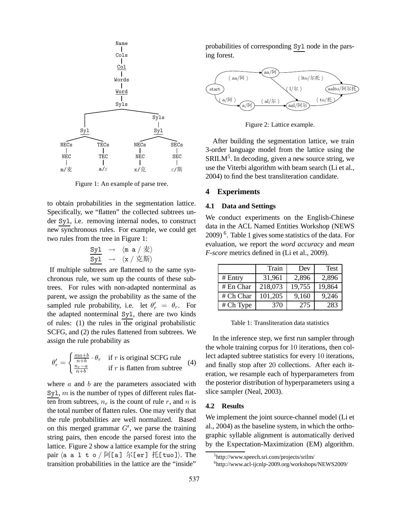

Figure 1: An example of parse tree.

to obtain probabilities in the segmentation lattice. Specifically, we "flatten" the collected subtrees under Syl, i.e. removing internal nodes, to construct new synchronous rules. For example, we could get two rules from the tree in Figure 1:

$$
\begin{array}{ccc} \underline{s y 1} & \rightarrow & \langle \texttt{m} \texttt{ a} \: / \: \bar{\Xi} \rangle \\ \underline{s y 1} & \rightarrow & \langle \texttt{x} \: / \: \bar{\Xi} \: \bar{\Xi} \rangle \end{array}
$$

If multiple subtrees are flattened to the same synchronous rule, we sum up the counts of these subtrees. For rules with non-adapted nonterminal as parent, we assign the probability as the same of the sampled rule probability, i.e. let  $\theta'_r = \theta_r$ . For the adapted nonterminal Syl, there are two kinds of rules: (1) the rules in the original probabilistic SCFG, and (2) the rules flattened from subtrees. We assign the rule probability as

$$
\theta'_{r} = \begin{cases} \frac{ma+b}{n+b} \cdot \theta_{r} & \text{if } r \text{ is original SCFG rule} \\ \frac{n_{r}-a}{n+b} & \text{if } r \text{ is flatten from subtree} \end{cases}
$$
(4)

where  $a$  and  $b$  are the parameters associated with Syl,  $m$  is the number of types of different rules flatten from subtrees,  $n_r$  is the count of rule r, and n is the total number of flatten rules. One may verify that the rule probabilities are well normalized. Based on this merged grammar  $G'$ , we parse the training string pairs, then encode the parsed forest into the lattice. Figure 2 show a lattice example for the string pair  $\langle a \ a \ l \ t \ o \ /\ \overline{M}[a] \ \overline{K}[er] \ \overline{H}[tuo]$ . The transition probabilities in the lattice are the "inside"

probabilities of corresponding Syl node in the parsing forest.



Figure 2: Lattice example.

After building the segmentation lattice, we train 3-order language model from the lattice using the SRILM<sup>5</sup>. In decoding, given a new source string, we use the Viterbi algorithm with beam search (Li et al., 2004) to find the best transliteration candidate.

## **4 Experiments**

# **4.1 Data and Settings**

We conduct experiments on the English-Chinese data in the ACL Named Entities Workshop (NEWS 2009) <sup>6</sup> . Table 1 gives some statistics of the data. For evaluation, we report the *word accuracy* and *mean F-score* metrics defined in (Li et al., 2009).

|           | Train   | Dev    | <b>Test</b> |
|-----------|---------|--------|-------------|
| # Entry   | 31,961  | 2,896  | 2,896       |
| # En Char | 218,073 | 19,755 | 19,864      |
| # Ch Char | 101,205 | 9,160  | 9,246       |
| # Ch Type | 370     | 275    | 283         |

Table 1: Transliteration data statistics

In the inference step, we first run sampler through the whole training corpus for 10 iterations, then collect adapted subtree statistics for every 10 iterations, and finally stop after 20 collections. After each iteration, we resample each of hyperparameters from the posterior distribution of hyperparameters using a slice sampler (Neal, 2003).

#### **4.2 Results**

We implement the joint source-channel model (Li et al., 2004) as the baseline system, in which the orthographic syllable alignment is automatically derived by the Expectation-Maximization (EM) algorithm.

<sup>5</sup> http://www.speech.sri.com/projects/srilm/

<sup>6</sup> http://www.acl-ijcnlp-2009.org/workshops/NEWS2009/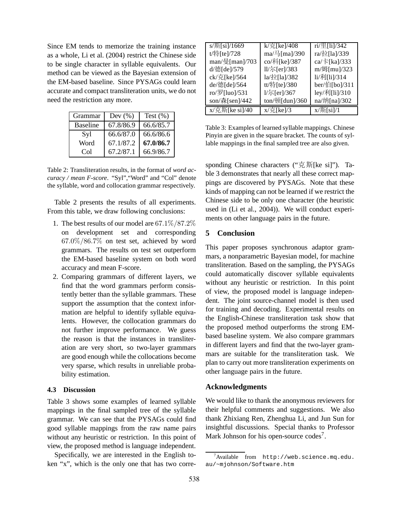Since EM tends to memorize the training instance as a whole, Li et al. (2004) restrict the Chinese side to be single character in syllable equivalents. Our method can be viewed as the Bayesian extension of the EM-based baseline. Since PYSAGs could learn accurate and compact transliteration units, we do not need the restriction any more.

| Grammar         | Dev $(\% )$ | Test $(\%)$ |
|-----------------|-------------|-------------|
| <b>Baseline</b> | 67.8/86.9   | 66.6/85.7   |
| Syl             | 66.6/87.0   | 66.6/86.6   |
| Word            | 67.1/87.2   | 67.0/86.7   |
| Col             | 67.2/87.1   | 66.9/86.7   |

Table 2: Transliteration results, in the format of *word accuracy / mean F-score*. "Syl","Word" and "Col" denote the syllable, word and collocation grammar respectively.

Table 2 presents the results of all experiments. From this table, we draw following conclusions:

- 1. The best results of our model are 67.1%/87.2% on development set and corresponding 67.0%/86.7% on test set, achieved by word grammars. The results on test set outperform the EM-based baseline system on both word accuracy and mean F-score.
- 2. Comparing grammars of different layers, we find that the word grammars perform consistently better than the syllable grammars. These support the assumption that the context information are helpful to identify syllable equivalents. However, the collocation grammars do not further improve performance. We guess the reason is that the instances in transliteration are very short, so two-layer grammars are good enough while the collocations become very sparse, which results in unreliable probability estimation.

# **4.3 Discussion**

Table 3 shows some examples of learned syllable mappings in the final sampled tree of the syllable grammar. We can see that the PYSAGs could find good syllable mappings from the raw name pairs without any heuristic or restriction. In this point of view, the proposed method is language independent.

Specifically, we are interested in the English token "x", which is the only one that has two corre-

| s/斯[si]/1669   | k/克[ke]/408                  | $ri/\sqrt{\frac{11}{2}}$ [li]/342 |
|----------------|------------------------------|-----------------------------------|
| t/特[te]/728    | ma/ $\frac{\pi}{3}$ [ma]/390 | ra/拉[la]/339                      |
| man/曼[man]/703 | co/科[ke]/387                 | ca/ $\pm$ [ka]/333                |
| d/德[de]/579    | ll/尔[er]/383                 | m/姆[mu]/323                       |
| ck/克[ke]/564   | la/拉[la]/382                 | li/利[li]/314                      |
| de/德[de]/564   | tt/特[te]/380                 | ber/伯[bo]/311                     |
| ro/罗[luo]/531  | 1/尔[er]/367                  | ley/利[li]/310                     |
| son/森[sen]/442 | ton/顿[dun]/360               | na/纳[na]/302                      |
| x/克斯[ke si]/40 | $x/\bar{\pi}$ [ke]/3         | $x/\frac{1}{9}$ [si]/1            |

Table 3: Examples of learned syllable mappings. Chinese Pinyin are given in the square bracket. The counts of syllable mappings in the final sampled tree are also given.

sponding Chinese characters (" $\bar{\mathcal{F}}$ ),  $\bar{\mathcal{F}}$ [ke si]"). Table 3 demonstrates that nearly all these correct mappings are discovered by PYSAGs. Note that these kinds of mapping can not be learned if we restrict the Chinese side to be only one character (the heuristic used in (Li et al., 2004)). We will conduct experiments on other language pairs in the future.

# **5 Conclusion**

This paper proposes synchronous adaptor grammars, a nonparametric Bayesian model, for machine transliteration. Based on the sampling, the PYSAGs could automatically discover syllable equivalents without any heuristic or restriction. In this point of view, the proposed model is language independent. The joint source-channel model is then used for training and decoding. Experimental results on the English-Chinese transliteration task show that the proposed method outperforms the strong EMbased baseline system. We also compare grammars in different layers and find that the two-layer grammars are suitable for the transliteration task. We plan to carry out more transliteration experiments on other language pairs in the future.

#### **Acknowledgments**

We would like to thank the anonymous reviewers for their helpful comments and suggestions. We also thank Zhixiang Ren, Zhenghua Li, and Jun Sun for insightful discussions. Special thanks to Professor Mark Johnson for his open-source codes<sup>7</sup>.

 $7$ Available from http://web.science.mq.edu. au/~mjohnson/Software.htm